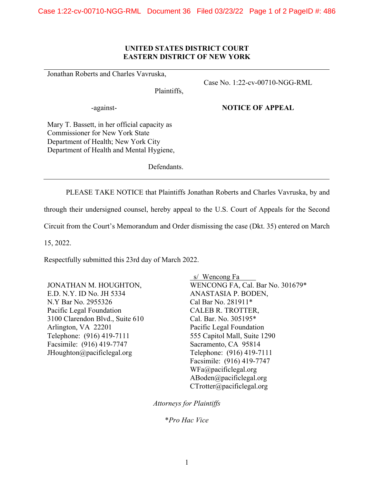## **UNITED STATES DISTRICT COURT EASTERN DISTRICT OF NEW YORK**

Jonathan Roberts and Charles Vavruska,

Case No. 1:22-cv-00710-NGG-RML

Plaintiffs,

-against-

## **NOTICE OF APPEAL**

Mary T. Bassett, in her official capacity as Commissioner for New York State Department of Health; New York City Department of Health and Mental Hygiene,

Defendants.

PLEASE TAKE NOTICE that Plaintiffs Jonathan Roberts and Charles Vavruska, by and

through their undersigned counsel, hereby appeal to the U.S. Court of Appeals for the Second

Circuit from the Court's Memorandum and Order dismissing the case (Dkt. 35) entered on March

15, 2022.

Respectfully submitted this 23rd day of March 2022.

JONATHAN M. HOUGHTON, E.D. N.Y. ID No. JH 5334 N.Y Bar No. 2955326 Pacific Legal Foundation 3100 Clarendon Blvd., Suite 610 Arlington, VA 22201 Telephone: (916) 419-7111 Facsimile: (916) 419-7747 JHoughton@pacificlegal.org

 s/ Wencong Fa WENCONG FA, Cal. Bar No. 301679\* ANASTASIA P. BODEN, Cal Bar No. 281911\* CALEB R. TROTTER, Cal. Bar. No. 305195\* Pacific Legal Foundation 555 Capitol Mall, Suite 1290 Sacramento, CA 95814 Telephone: (916) 419-7111 Facsimile: (916) 419-7747 WFa@pacificlegal.org ABoden@pacificlegal.org CTrotter@pacificlegal.org

*Attorneys for Plaintiffs*

\**Pro Hac Vice*